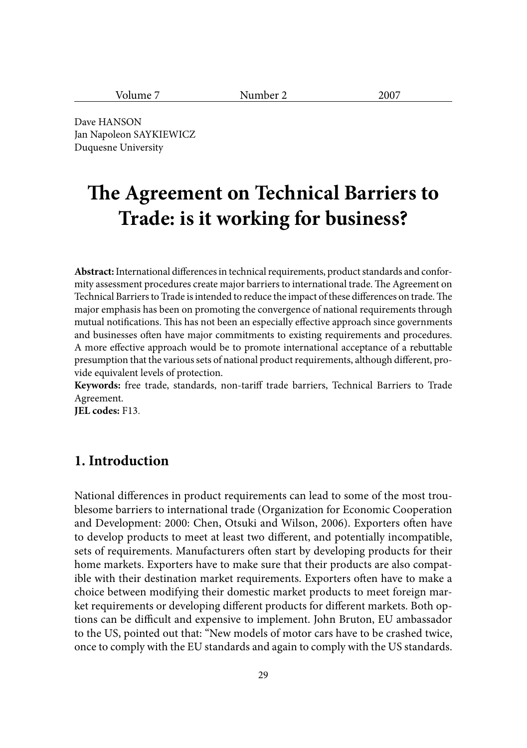| $ -$<br>-- -<br>-<br>. |  |
|------------------------|--|
|------------------------|--|

Dave HANSON Jan Napoleon SAYKIEWICZ Duquesne University

# **The Agreement on Technical Barriers to Trade: is it working for business?**

Abstract: International differences in technical requirements, product standards and conformity assessment procedures create major barriers to international trade. The Agreement on Technical Barriers to Trade is intended to reduce the impact of these differences on trade. The major emphasis has been on promoting the convergence of national requirements through mutual notifications. This has not been an especially effective approach since governments and businesses often have major commitments to existing requirements and procedures. A more effective approach would be to promote international acceptance of a rebuttable presumption that the various sets of national product requirements, although different, provide equivalent levels of protection.

**Keywords:** free trade, standards, non-tariff trade barriers, Technical Barriers to Trade Agreement.

**JEL codes:** F13.

## **1. Introduction**

National differences in product requirements can lead to some of the most troublesome barriers to international trade (Organization for Economic Cooperation and Development: 2000: Chen, Otsuki and Wilson, 2006). Exporters often have to develop products to meet at least two different, and potentially incompatible, sets of requirements. Manufacturers often start by developing products for their home markets. Exporters have to make sure that their products are also compatible with their destination market requirements. Exporters often have to make a choice between modifying their domestic market products to meet foreign market requirements or developing different products for different markets. Both options can be difficult and expensive to implement. John Bruton, EU ambassador to the US, pointed out that: "New models of motor cars have to be crashed twice, once to comply with the EU standards and again to comply with the US standards.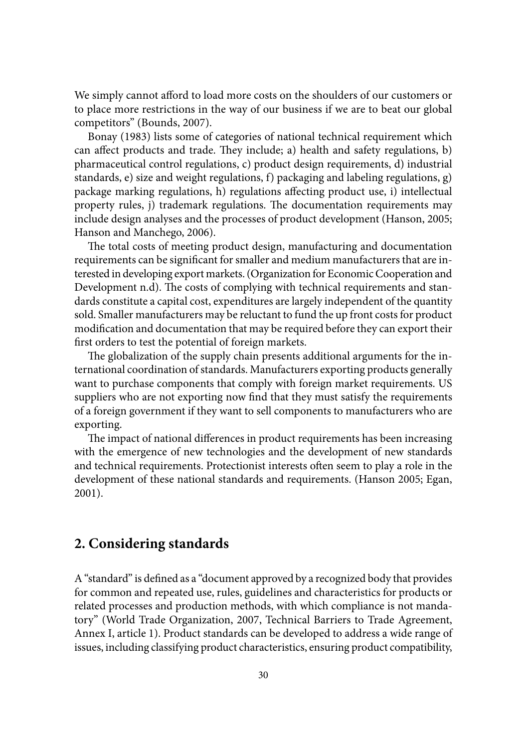We simply cannot afford to load more costs on the shoulders of our customers or to place more restrictions in the way of our business if we are to beat our global competitors" (Bounds, 2007).

Bonay (1983) lists some of categories of national technical requirement which can affect products and trade. They include; a) health and safety regulations, b) pharmaceutical control regulations, c) product design requirements, d) industrial standards, e) size and weight regulations, f) packaging and labeling regulations, g) package marking regulations, h) regulations affecting product use, i) intellectual property rules, j) trademark regulations. The documentation requirements may include design analyses and the processes of product development (Hanson, 2005; Hanson and Manchego, 2006).

The total costs of meeting product design, manufacturing and documentation requirements can be significant for smaller and medium manufacturers that are interested in developing export markets. (Organization for Economic Cooperation and Development n.d). The costs of complying with technical requirements and standards constitute a capital cost, expenditures are largely independent of the quantity sold. Smaller manufacturers may be reluctant to fund the up front costs for product modification and documentation that may be required before they can export their first orders to test the potential of foreign markets.

The globalization of the supply chain presents additional arguments for the international coordination of standards. Manufacturers exporting products generally want to purchase components that comply with foreign market requirements. US suppliers who are not exporting now find that they must satisfy the requirements of a foreign government if they want to sell components to manufacturers who are exporting.

The impact of national differences in product requirements has been increasing with the emergence of new technologies and the development of new standards and technical requirements. Protectionist interests often seem to play a role in the development of these national standards and requirements. (Hanson 2005; Egan, 2001).

#### **2. Considering standards**

A "standard" is defined as a "document approved by a recognized body that provides for common and repeated use, rules, guidelines and characteristics for products or related processes and production methods, with which compliance is not mandatory" (World Trade Organization, 2007, Technical Barriers to Trade Agreement, Annex I, article 1). Product standards can be developed to address a wide range of issues, including classifying product characteristics, ensuring product compatibility,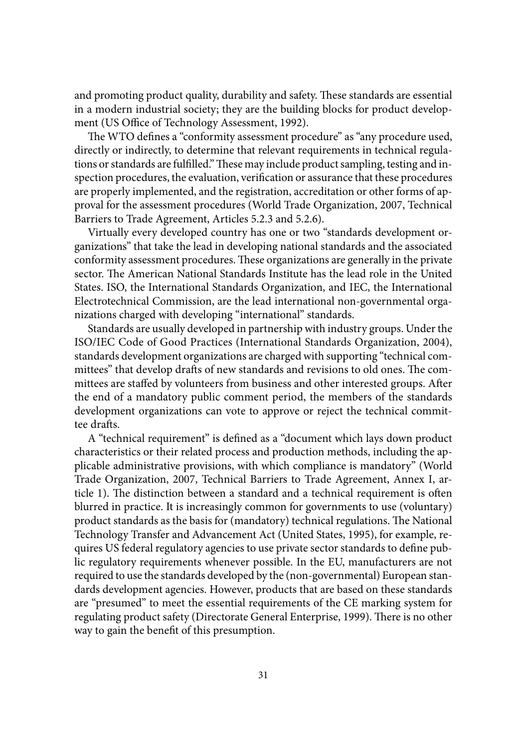and promoting product quality, durability and safety. These standards are essential in a modern industrial society; they are the building blocks for product development (US Office of Technology Assessment, 1992).

The WTO defines a "conformity assessment procedure" as "any procedure used, directly or indirectly, to determine that relevant requirements in technical regulations or standards are fulfilled." These may include product sampling, testing and inspection procedures, the evaluation, verification or assurance that these procedures are properly implemented, and the registration, accreditation or other forms of approval for the assessment procedures (World Trade Organization, 2007, Technical Barriers to Trade Agreement, Articles 5.2.3 and 5.2.6).

Virtually every developed country has one or two "standards development organizations" that take the lead in developing national standards and the associated conformity assessment procedures. These organizations are generally in the private sector. The American National Standards Institute has the lead role in the United States. ISO, the International Standards Organization, and IEC, the International Electrotechnical Commission, are the lead international non-governmental organizations charged with developing "international" standards.

Standards are usually developed in partnership with industry groups. Under the ISO/IEC Code of Good Practices (International Standards Organization, 2004), standards development organizations are charged with supporting "technical committees" that develop drafts of new standards and revisions to old ones. The committees are staffed by volunteers from business and other interested groups. After the end of a mandatory public comment period, the members of the standards development organizations can vote to approve or reject the technical committee drafts.

A "technical requirement" is defined as a "document which lays down product characteristics or their related process and production methods, including the applicable administrative provisions, with which compliance is mandatory" (World Trade Organization, 2007, Technical Barriers to Trade Agreement, Annex I, article 1). The distinction between a standard and a technical requirement is often blurred in practice. It is increasingly common for governments to use (voluntary) product standards as the basis for (mandatory) technical regulations. The National Technology Transfer and Advancement Act (United States, 1995), for example, requires US federal regulatory agencies to use private sector standards to define public regulatory requirements whenever possible. In the EU, manufacturers are not required to use the standards developed by the (non-governmental) European standards development agencies. However, products that are based on these standards are "presumed" to meet the essential requirements of the CE marking system for regulating product safety (Directorate General Enterprise, 1999). There is no other way to gain the benefit of this presumption.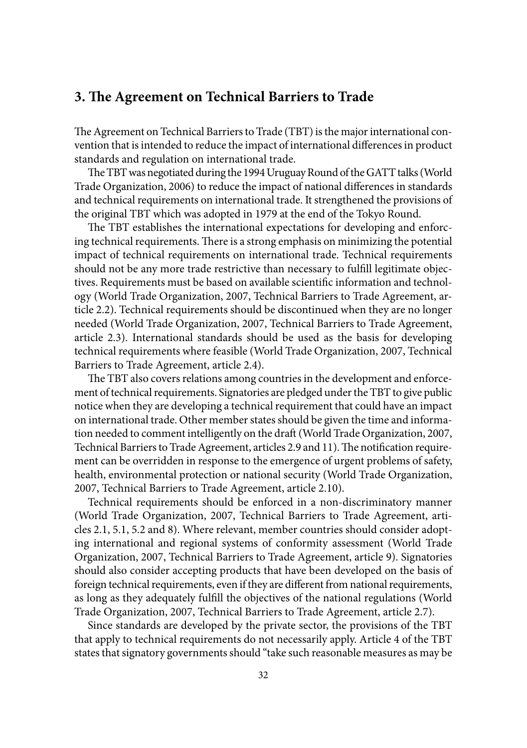## **3. The Agreement on Technical Barriers to Trade**

The Agreement on Technical Barriers to Trade (TBT) is the major international convention that is intended to reduce the impact of international differences in product standards and regulation on international trade.

The TBT was negotiated during the 1994 Uruguay Round of the GATT talks (World Trade Organization, 2006) to reduce the impact of national differences in standards and technical requirements on international trade. It strengthened the provisions of the original TBT which was adopted in 1979 at the end of the Tokyo Round.

The TBT establishes the international expectations for developing and enforcing technical requirements. There is a strong emphasis on minimizing the potential impact of technical requirements on international trade. Technical requirements should not be any more trade restrictive than necessary to fulfill legitimate objectives. Requirements must be based on available scientific information and technology (World Trade Organization, 2007, Technical Barriers to Trade Agreement, article 2.2). Technical requirements should be discontinued when they are no longer needed (World Trade Organization, 2007, Technical Barriers to Trade Agreement, article 2.3). International standards should be used as the basis for developing technical requirements where feasible (World Trade Organization, 2007, Technical Barriers to Trade Agreement, article 2.4).

The TBT also covers relations among countries in the development and enforcement of technical requirements. Signatories are pledged under the TBT to give public notice when they are developing a technical requirement that could have an impact on international trade. Other member states should be given the time and information needed to comment intelligently on the draft (World Trade Organization, 2007, Technical Barriers to Trade Agreement, articles 2.9 and 11). The notification requirement can be overridden in response to the emergence of urgent problems of safety, health, environmental protection or national security (World Trade Organization, 2007, Technical Barriers to Trade Agreement, article 2.10).

Technical requirements should be enforced in a non-discriminatory manner (World Trade Organization, 2007, Technical Barriers to Trade Agreement, articles 2.1, 5.1, 5.2 and 8). Where relevant, member countries should consider adopting international and regional systems of conformity assessment (World Trade Organization, 2007, Technical Barriers to Trade Agreement, article 9). Signatories should also consider accepting products that have been developed on the basis of foreign technical requirements, even if they are different from national requirements, as long as they adequately fulfill the objectives of the national regulations (World Trade Organization, 2007, Technical Barriers to Trade Agreement, article 2.7).

Since standards are developed by the private sector, the provisions of the TBT that apply to technical requirements do not necessarily apply. Article 4 of the TBT states that signatory governments should "take such reasonable measures as may be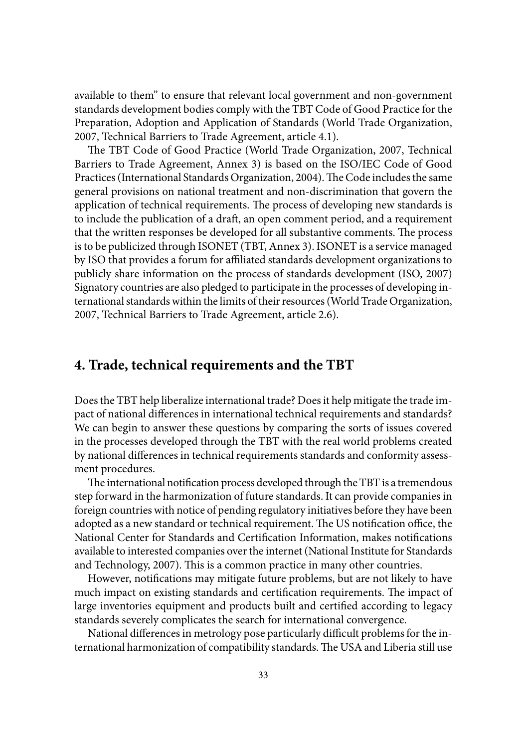available to them" to ensure that relevant local government and non-government standards development bodies comply with the TBT Code of Good Practice for the Preparation, Adoption and Application of Standards (World Trade Organization, 2007, Technical Barriers to Trade Agreement, article 4.1).

The TBT Code of Good Practice (World Trade Organization, 2007, Technical Barriers to Trade Agreement, Annex 3) is based on the ISO/IEC Code of Good Practices (International Standards Organization, 2004). The Code includes the same general provisions on national treatment and non-discrimination that govern the application of technical requirements. The process of developing new standards is to include the publication of a draft, an open comment period, and a requirement that the written responses be developed for all substantive comments. The process is to be publicized through ISONET (TBT, Annex 3). ISONET is a service managed by ISO that provides a forum for affiliated standards development organizations to publicly share information on the process of standards development (ISO, 2007) Signatory countries are also pledged to participate in the processes of developing international standards within the limits of their resources (World Trade Organization, 2007, Technical Barriers to Trade Agreement, article 2.6).

#### **4. Trade, technical requirements and the TBT**

Does the TBT help liberalize international trade? Does it help mitigate the trade impact of national differences in international technical requirements and standards? We can begin to answer these questions by comparing the sorts of issues covered in the processes developed through the TBT with the real world problems created by national differences in technical requirements standards and conformity assessment procedures.

The international notification process developed through the TBT is a tremendous step forward in the harmonization of future standards. It can provide companies in foreign countries with notice of pending regulatory initiatives before they have been adopted as a new standard or technical requirement. The US notification office, the National Center for Standards and Certification Information, makes notifications available to interested companies over the internet (National Institute for Standards and Technology, 2007). This is a common practice in many other countries.

However, notifications may mitigate future problems, but are not likely to have much impact on existing standards and certification requirements. The impact of large inventories equipment and products built and certified according to legacy standards severely complicates the search for international convergence.

National differences in metrology pose particularly difficult problems for the international harmonization of compatibility standards. The USA and Liberia still use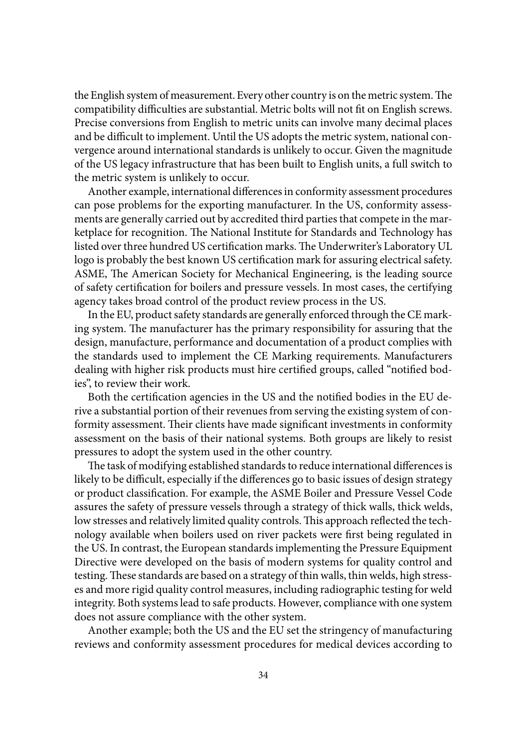the English system of measurement. Every other country is on the metric system. The compatibility difficulties are substantial. Metric bolts will not fit on English screws. Precise conversions from English to metric units can involve many decimal places and be difficult to implement. Until the US adopts the metric system, national convergence around international standards is unlikely to occur. Given the magnitude of the US legacy infrastructure that has been built to English units, a full switch to the metric system is unlikely to occur.

Another example, international differences in conformity assessment procedures can pose problems for the exporting manufacturer. In the US, conformity assessments are generally carried out by accredited third parties that compete in the marketplace for recognition. The National Institute for Standards and Technology has listed over three hundred US certification marks. The Underwriter's Laboratory UL logo is probably the best known US certification mark for assuring electrical safety. ASME, The American Society for Mechanical Engineering, is the leading source of safety certification for boilers and pressure vessels. In most cases, the certifying agency takes broad control of the product review process in the US.

In the EU, product safety standards are generally enforced through the CE marking system. The manufacturer has the primary responsibility for assuring that the design, manufacture, performance and documentation of a product complies with the standards used to implement the CE Marking requirements. Manufacturers dealing with higher risk products must hire certified groups, called "notified bodies", to review their work.

Both the certification agencies in the US and the notified bodies in the EU derive a substantial portion of their revenues from serving the existing system of conformity assessment. Their clients have made significant investments in conformity assessment on the basis of their national systems. Both groups are likely to resist pressures to adopt the system used in the other country.

The task of modifying established standards to reduce international differences is likely to be difficult, especially if the differences go to basic issues of design strategy or product classification. For example, the ASME Boiler and Pressure Vessel Code assures the safety of pressure vessels through a strategy of thick walls, thick welds, low stresses and relatively limited quality controls. This approach reflected the technology available when boilers used on river packets were first being regulated in the US. In contrast, the European standards implementing the Pressure Equipment Directive were developed on the basis of modern systems for quality control and testing. These standards are based on a strategy of thin walls, thin welds, high stresses and more rigid quality control measures, including radiographic testing for weld integrity. Both systems lead to safe products. However, compliance with one system does not assure compliance with the other system.

Another example; both the US and the EU set the stringency of manufacturing reviews and conformity assessment procedures for medical devices according to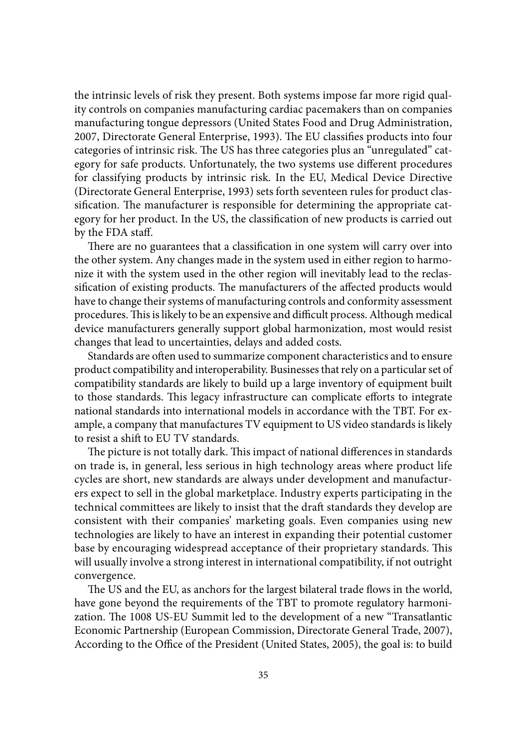the intrinsic levels of risk they present. Both systems impose far more rigid quality controls on companies manufacturing cardiac pacemakers than on companies manufacturing tongue depressors (United States Food and Drug Administration, 2007, Directorate General Enterprise, 1993). The EU classifies products into four categories of intrinsic risk. The US has three categories plus an "unregulated" category for safe products. Unfortunately, the two systems use different procedures for classifying products by intrinsic risk. In the EU, Medical Device Directive (Directorate General Enterprise, 1993) sets forth seventeen rules for product classification. The manufacturer is responsible for determining the appropriate category for her product. In the US, the classification of new products is carried out by the FDA staff.

There are no guarantees that a classification in one system will carry over into the other system. Any changes made in the system used in either region to harmonize it with the system used in the other region will inevitably lead to the reclassification of existing products. The manufacturers of the affected products would have to change their systems of manufacturing controls and conformity assessment procedures. This is likely to be an expensive and difficult process. Although medical device manufacturers generally support global harmonization, most would resist changes that lead to uncertainties, delays and added costs.

Standards are often used to summarize component characteristics and to ensure product compatibility and interoperability. Businesses that rely on a particular set of compatibility standards are likely to build up a large inventory of equipment built to those standards. This legacy infrastructure can complicate efforts to integrate national standards into international models in accordance with the TBT. For example, a company that manufactures TV equipment to US video standards is likely to resist a shift to EU TV standards.

The picture is not totally dark. This impact of national differences in standards on trade is, in general, less serious in high technology areas where product life cycles are short, new standards are always under development and manufacturers expect to sell in the global marketplace. Industry experts participating in the technical committees are likely to insist that the draft standards they develop are consistent with their companies' marketing goals. Even companies using new technologies are likely to have an interest in expanding their potential customer base by encouraging widespread acceptance of their proprietary standards. This will usually involve a strong interest in international compatibility, if not outright convergence.

The US and the EU, as anchors for the largest bilateral trade flows in the world, have gone beyond the requirements of the TBT to promote regulatory harmonization. The 1008 US-EU Summit led to the development of a new "Transatlantic Economic Partnership (European Commission, Directorate General Trade, 2007), According to the Office of the President (United States, 2005), the goal is: to build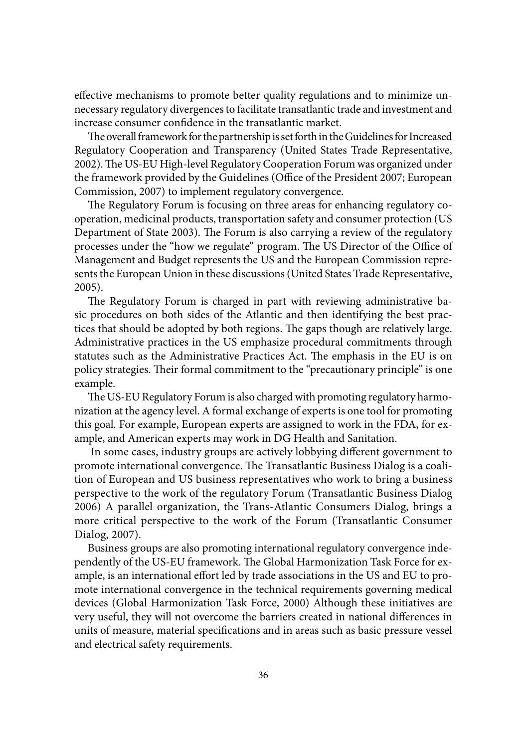effective mechanisms to promote better quality regulations and to minimize unnecessary regulatory divergences to facilitate transatlantic trade and investment and increase consumer confidence in the transatlantic market.

The overall framework for the partnership is set forth in the Guidelines for Increased Regulatory Cooperation and Transparency (United States Trade Representative, 2002). The US-EU High-level Regulatory Cooperation Forum was organized under the framework provided by the Guidelines (Office of the President 2007; European Commission, 2007) to implement regulatory convergence.

The Regulatory Forum is focusing on three areas for enhancing regulatory cooperation, medicinal products, transportation safety and consumer protection (US Department of State 2003). The Forum is also carrying a review of the regulatory processes under the "how we regulate" program. The US Director of the Office of Management and Budget represents the US and the European Commission represents the European Union in these discussions (United States Trade Representative, 2005).

The Regulatory Forum is charged in part with reviewing administrative basic procedures on both sides of the Atlantic and then identifying the best practices that should be adopted by both regions. The gaps though are relatively large. Administrative practices in the US emphasize procedural commitments through statutes such as the Administrative Practices Act. The emphasis in the EU is on policy strategies. Their formal commitment to the "precautionary principle" is one example.

The US-EU Regulatory Forum is also charged with promoting regulatory harmonization at the agency level. A formal exchange of experts is one tool for promoting this goal. For example, European experts are assigned to work in the FDA, for example, and American experts may work in DG Health and Sanitation.

In some cases, industry groups are actively lobbying different government to promote international convergence. The Transatlantic Business Dialog is a coalition of European and US business representatives who work to bring a business perspective to the work of the regulatory Forum (Transatlantic Business Dialog 2006) A parallel organization, the Trans-Atlantic Consumers Dialog, brings a more critical perspective to the work of the Forum (Transatlantic Consumer Dialog, 2007).

Business groups are also promoting international regulatory convergence independently of the US-EU framework. The Global Harmonization Task Force for example, is an international effort led by trade associations in the US and EU to promote international convergence in the technical requirements governing medical devices (Global Harmonization Task Force, 2000) Although these initiatives are very useful, they will not overcome the barriers created in national differences in units of measure, material specifications and in areas such as basic pressure vessel and electrical safety requirements.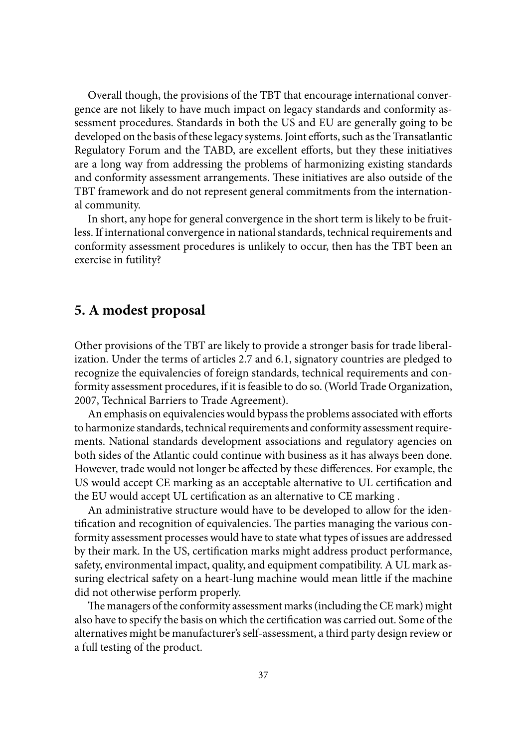Overall though, the provisions of the TBT that encourage international convergence are not likely to have much impact on legacy standards and conformity assessment procedures. Standards in both the US and EU are generally going to be developed on the basis of these legacy systems. Joint efforts, such as the Transatlantic Regulatory Forum and the TABD, are excellent efforts, but they these initiatives are a long way from addressing the problems of harmonizing existing standards and conformity assessment arrangements. These initiatives are also outside of the TBT framework and do not represent general commitments from the international community.

In short, any hope for general convergence in the short term is likely to be fruitless. If international convergence in national standards, technical requirements and conformity assessment procedures is unlikely to occur, then has the TBT been an exercise in futility?

#### **5. A modest proposal**

Other provisions of the TBT are likely to provide a stronger basis for trade liberalization. Under the terms of articles 2.7 and 6.1, signatory countries are pledged to recognize the equivalencies of foreign standards, technical requirements and conformity assessment procedures, if it is feasible to do so. (World Trade Organization, 2007, Technical Barriers to Trade Agreement).

An emphasis on equivalencies would bypass the problems associated with efforts to harmonize standards, technical requirements and conformity assessment requirements. National standards development associations and regulatory agencies on both sides of the Atlantic could continue with business as it has always been done. However, trade would not longer be affected by these differences. For example, the US would accept CE marking as an acceptable alternative to UL certification and the EU would accept UL certification as an alternative to CE marking.

An administrative structure would have to be developed to allow for the identification and recognition of equivalencies. The parties managing the various conformity assessment processes would have to state what types of issues are addressed by their mark. In the US, certification marks might address product performance, safety, environmental impact, quality, and equipment compatibility. A UL mark assuring electrical safety on a heart-lung machine would mean little if the machine did not otherwise perform properly.

The managers of the conformity assessment marks (including the CE mark) might also have to specify the basis on which the certification was carried out. Some of the alternatives might be manufacturer's self-assessment, a third party design review or a full testing of the product.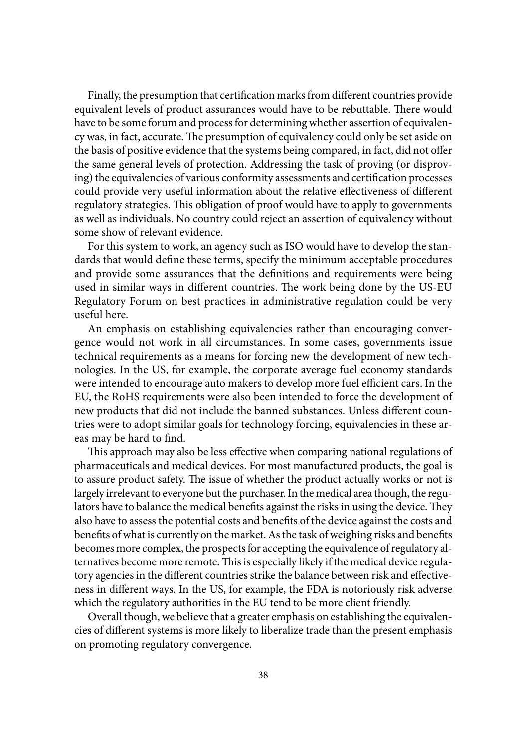Finally, the presumption that certification marks from different countries provide equivalent levels of product assurances would have to be rebuttable. There would have to be some forum and process for determining whether assertion of equivalency was, in fact, accurate. The presumption of equivalency could only be set aside on the basis of positive evidence that the systems being compared, in fact, did not offer the same general levels of protection. Addressing the task of proving (or disproving) the equivalencies of various conformity assessments and certification processes could provide very useful information about the relative effectiveness of different regulatory strategies. This obligation of proof would have to apply to governments as well as individuals. No country could reject an assertion of equivalency without some show of relevant evidence.

For this system to work, an agency such as ISO would have to develop the standards that would define these terms, specify the minimum acceptable procedures and provide some assurances that the definitions and requirements were being used in similar ways in different countries. The work being done by the US-EU Regulatory Forum on best practices in administrative regulation could be very useful here.

An emphasis on establishing equivalencies rather than encouraging convergence would not work in all circumstances. In some cases, governments issue technical requirements as a means for forcing new the development of new technologies. In the US, for example, the corporate average fuel economy standards were intended to encourage auto makers to develop more fuel efficient cars. In the EU, the RoHS requirements were also been intended to force the development of new products that did not include the banned substances. Unless different countries were to adopt similar goals for technology forcing, equivalencies in these areas may be hard to find.

This approach may also be less effective when comparing national regulations of pharmaceuticals and medical devices. For most manufactured products, the goal is to assure product safety. The issue of whether the product actually works or not is largely irrelevant to everyone but the purchaser. In the medical area though, the regulators have to balance the medical benefits against the risks in using the device. They also have to assess the potential costs and benefits of the device against the costs and benefits of what is currently on the market. As the task of weighing risks and benefits becomes more complex, the prospects for accepting the equivalence of regulatory alternatives become more remote. This is especially likely if the medical device regulatory agencies in the different countries strike the balance between risk and effectiveness in different ways. In the US, for example, the FDA is notoriously risk adverse which the regulatory authorities in the EU tend to be more client friendly.

Overall though, we believe that a greater emphasis on establishing the equivalencies of different systems is more likely to liberalize trade than the present emphasis on promoting regulatory convergence.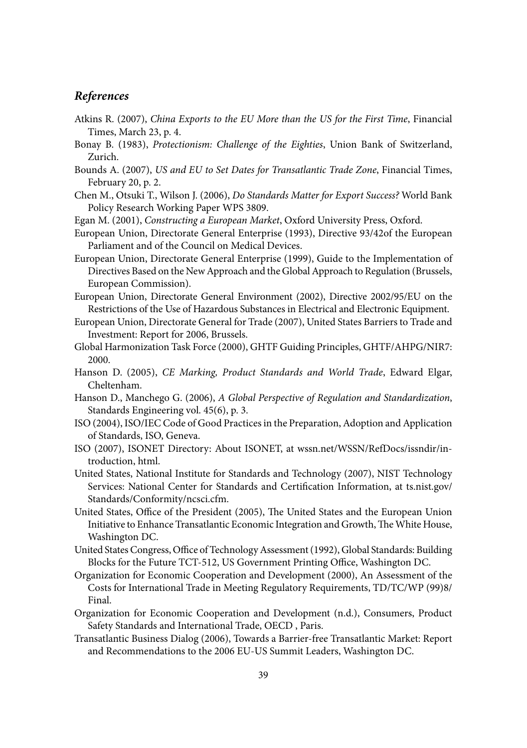#### *References*

- Atkins R. (2007), *China Exports to the EU More than the US for the First Time*, Financial Times, March 23, p. 4.
- Bonay B. (1983), *Protectionism: Challenge of the Eighties*, Union Bank of Switzerland, Zurich.
- Bounds A. (2007), *US and EU to Set Dates for Transatlantic Trade Zone*, Financial Times, February 20, p. 2.
- Chen M., Otsuki T., Wilson J. (2006), *Do Standards Matter for Export Success?* World Bank Policy Research Working Paper WPS 3809.
- Egan M. (2001), *Constructing a European Market*, Oxford University Press, Oxford.
- European Union, Directorate General Enterprise (1993), Directive 93/42of the European Parliament and of the Council on Medical Devices.
- European Union, Directorate General Enterprise (1999), Guide to the Implementation of Directives Based on the New Approach and the Global Approach to Regulation (Brussels, European Commission).
- European Union, Directorate General Environment (2002), Directive 2002/95/EU on the Restrictions of the Use of Hazardous Substances in Electrical and Electronic Equipment.
- European Union, Directorate General for Trade (2007), United States Barriers to Trade and Investment: Report for 2006, Brussels.
- Global Harmonization Task Force (2000), GHTF Guiding Principles, GHTF/AHPG/NIR7: 2000.
- Hanson D. (2005), *CE Marking, Product Standards and World Trade*, Edward Elgar, Cheltenham.
- Hanson D., Manchego G. (2006), *A Global Perspective of Regulation and Standardization*, Standards Engineering vol. 45(6), p. 3.
- ISO (2004), ISO/IEC Code of Good Practices in the Preparation, Adoption and Application of Standards, ISO, Geneva.
- ISO (2007), ISONET Directory: About ISONET, at wssn.net/WSSN/RefDocs/issndir/introduction, html.
- United States, National Institute for Standards and Technology (2007), NIST Technology Services: National Center for Standards and Certification Information, at ts.nist.gov/ Standards/Conformity/ncsci.cfm.
- United States, Office of the President (2005), The United States and the European Union Initiative to Enhance Transatlantic Economic Integration and Growth, The White House, Washington DC.
- United States Congress, Office of Technology Assessment (1992), Global Standards: Building Blocks for the Future TCT-512, US Government Printing Office, Washington DC.
- Organization for Economic Cooperation and Development (2000), An Assessment of the Costs for International Trade in Meeting Regulatory Requirements, TD/TC/WP (99)8/ Final.
- Organization for Economic Cooperation and Development (n.d.), Consumers, Product Safety Standards and International Trade, OECD , Paris.
- Transatlantic Business Dialog (2006), Towards a Barrier-free Transatlantic Market: Report and Recommendations to the 2006 EU-US Summit Leaders, Washington DC.